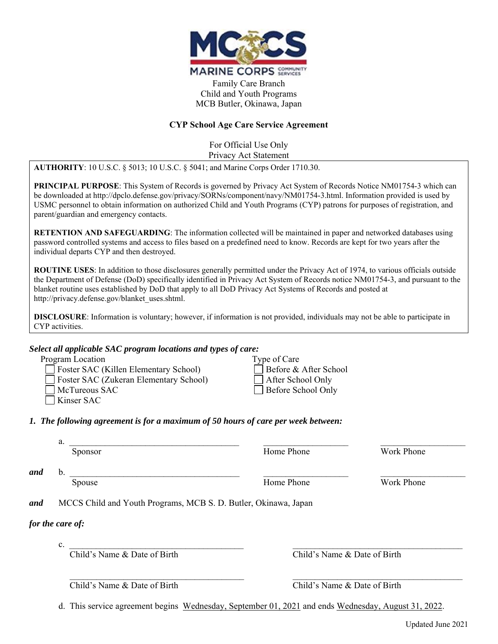

Family Care Branch Child and Youth Programs MCB Butler, Okinawa, Japan

### **CYP School Age Care Service Agreement**

For Official Use Only Privacy Act Statement

**AUTHORITY**: 10 U.S.C. § 5013; 10 U.S.C. § 5041; and Marine Corps Order 1710.30.

**PRINCIPAL PURPOSE**: This System of Records is governed by Privacy Act System of Records Notice NM01754-3 which can be downloaded at http://dpclo.defense.gov/privacy/SORNs/component/navy/NM01754-3.html. Information provided is used by USMC personnel to obtain information on authorized Child and Youth Programs (CYP) patrons for purposes of registration, and parent/guardian and emergency contacts.

**RETENTION AND SAFEGUARDING**: The information collected will be maintained in paper and networked databases using password controlled systems and access to files based on a predefined need to know. Records are kept for two years after the individual departs CYP and then destroyed.

**ROUTINE USES**: In addition to those disclosures generally permitted under the Privacy Act of 1974, to various officials outside the Department of Defense (DoD) specifically identified in Privacy Act System of Records notice NM01754-3, and pursuant to the blanket routine uses established by DoD that apply to all DoD Privacy Act Systems of Records and posted at http://privacy.defense.gov/blanket\_uses.shtml.

**DISCLOSURE**: Information is voluntary; however, if information is not provided, individuals may not be able to participate in CYP activities.

## *Select all applicable SAC program locations and types of care:*

| scieci au applicable sixe program localions ana types of care. |                          |
|----------------------------------------------------------------|--------------------------|
| Program Location                                               | Type of Care             |
| $\Box$ Foster SAC (Killen Elementary School)                   | $\Box$ Before & After Sc |
| Foster SAC (Zukeran Elementary School)                         | After School Only        |
| McTureous SAC                                                  | Before School Onl        |
|                                                                |                          |

Kinser SAC

hool: After School Only Before School Only

*1. The following agreement is for a maximum of 50 hours of care per week between:* 

 $a.$ 

Sponsor **Example 2** Home Phone Mork Phone

*and* b. \_\_\_\_\_\_\_\_\_\_\_\_\_\_\_\_\_\_\_\_\_\_\_\_\_\_\_\_\_\_\_\_\_\_\_\_\_\_ \_\_\_\_\_\_\_\_\_\_\_\_\_\_\_\_\_\_\_ \_\_\_\_\_\_\_\_\_\_\_\_\_\_\_\_\_\_\_

Spouse **Home Phone** Work Phone

*and* MCCS Child and Youth Programs, MCB S. D. Butler, Okinawa, Japan

# *for the care of:*

 $c.$ 

Child's Name & Date of Birth Child's Name & Date of Birth

Child's Name & Date of Birth Child's Name & Date of Birth

d. This service agreement begins Wednesday, September 01, 2021 and ends Wednesday, August 31, 2022.

 $\mathcal{L}_\mathcal{L} = \{ \mathcal{L}_\mathcal{L} = \{ \mathcal{L}_\mathcal{L} = \{ \mathcal{L}_\mathcal{L} = \{ \mathcal{L}_\mathcal{L} = \{ \mathcal{L}_\mathcal{L} = \{ \mathcal{L}_\mathcal{L} = \{ \mathcal{L}_\mathcal{L} = \{ \mathcal{L}_\mathcal{L} = \{ \mathcal{L}_\mathcal{L} = \{ \mathcal{L}_\mathcal{L} = \{ \mathcal{L}_\mathcal{L} = \{ \mathcal{L}_\mathcal{L} = \{ \mathcal{L}_\mathcal{L} = \{ \mathcal{L}_\mathcal{$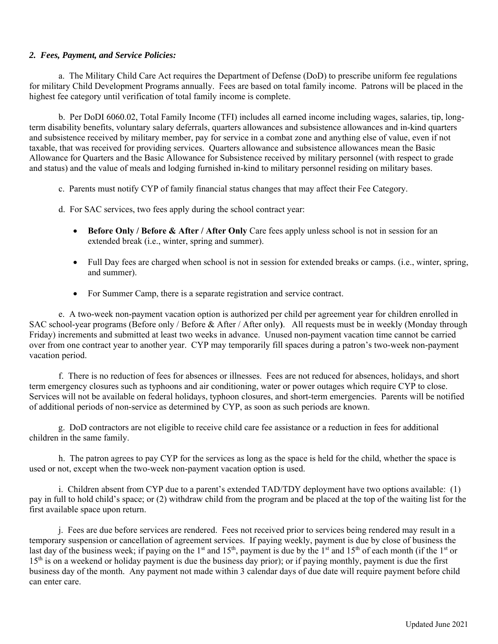## *2. Fees, Payment, and Service Policies:*

 a. The Military Child Care Act requires the Department of Defense (DoD) to prescribe uniform fee regulations for military Child Development Programs annually. Fees are based on total family income. Patrons will be placed in the highest fee category until verification of total family income is complete.

 b. Per DoDI 6060.02, Total Family Income (TFI) includes all earned income including wages, salaries, tip, longterm disability benefits, voluntary salary deferrals, quarters allowances and subsistence allowances and in-kind quarters and subsistence received by military member, pay for service in a combat zone and anything else of value, even if not taxable, that was received for providing services. Quarters allowance and subsistence allowances mean the Basic Allowance for Quarters and the Basic Allowance for Subsistence received by military personnel (with respect to grade and status) and the value of meals and lodging furnished in-kind to military personnel residing on military bases.

- c. Parents must notify CYP of family financial status changes that may affect their Fee Category.
- d. For SAC services, two fees apply during the school contract year:
	- **Before Only / Before & After / After Only** Care fees apply unless school is not in session for an extended break (i.e., winter, spring and summer).
	- Full Day fees are charged when school is not in session for extended breaks or camps. (i.e., winter, spring, and summer).
	- For Summer Camp, there is a separate registration and service contract.

e. A two-week non-payment vacation option is authorized per child per agreement year for children enrolled in SAC school-year programs (Before only / Before & After / After only**)**. All requests must be in weekly (Monday through Friday) increments and submitted at least two weeks in advance. Unused non-payment vacation time cannot be carried over from one contract year to another year. CYP may temporarily fill spaces during a patron's two-week non-payment vacation period.

f. There is no reduction of fees for absences or illnesses. Fees are not reduced for absences, holidays, and short term emergency closures such as typhoons and air conditioning, water or power outages which require CYP to close. Services will not be available on federal holidays, typhoon closures, and short-term emergencies. Parents will be notified of additional periods of non-service as determined by CYP, as soon as such periods are known.

 g. DoD contractors are not eligible to receive child care fee assistance or a reduction in fees for additional children in the same family.

h. The patron agrees to pay CYP for the services as long as the space is held for the child, whether the space is used or not, except when the two-week non-payment vacation option is used.

i. Children absent from CYP due to a parent's extended TAD/TDY deployment have two options available: (1) pay in full to hold child's space; or (2) withdraw child from the program and be placed at the top of the waiting list for the first available space upon return.

 j. Fees are due before services are rendered. Fees not received prior to services being rendered may result in a temporary suspension or cancellation of agreement services. If paying weekly, payment is due by close of business the last day of the business week; if paying on the 1<sup>st</sup> and 15<sup>th</sup>, payment is due by the 1<sup>st</sup> and 15<sup>th</sup> of each month (if the 1<sup>st</sup> or  $15<sup>th</sup>$  is on a weekend or holiday payment is due the business day prior); or if paying monthly, payment is due the first business day of the month. Any payment not made within 3 calendar days of due date will require payment before child can enter care.